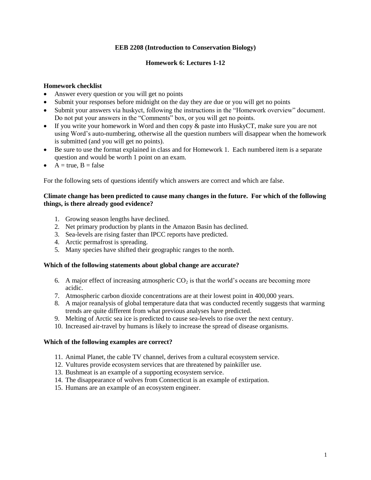# **EEB 2208 (Introduction to Conservation Biology)**

# **Homework 6: Lectures 1-12**

# **Homework checklist**

- Answer every question or you will get no points
- Submit your responses before midnight on the day they are due or you will get no points
- Submit your answers via huskyct, following the instructions in the "Homework overview" document. Do not put your answers in the "Comments" box, or you will get no points.
- If you write your homework in Word and then copy & paste into HuskyCT, make sure you are not using Word's auto-numbering, otherwise all the question numbers will disappear when the homework is submitted (and you will get no points).
- Be sure to use the format explained in class and for Homework 1. Each numbered item is a separate question and would be worth 1 point on an exam.
- $A = true, B = false$

For the following sets of questions identify which answers are correct and which are false.

## **Climate change has been predicted to cause many changes in the future. For which of the following things, is there already good evidence?**

- 1. Growing season lengths have declined.
- 2. Net primary production by plants in the Amazon Basin has declined.
- 3. Sea-levels are rising faster than IPCC reports have predicted.
- 4. Arctic permafrost is spreading.
- 5. Many species have shifted their geographic ranges to the north.

#### **Which of the following statements about global change are accurate?**

- 6. A major effect of increasing atmospheric  $CO<sub>2</sub>$  is that the world's oceans are becoming more acidic.
- 7. Atmospheric carbon dioxide concentrations are at their lowest point in 400,000 years.
- 8. A major reanalysis of global temperature data that was conducted recently suggests that warming trends are quite different from what previous analyses have predicted.
- 9. Melting of Arctic sea ice is predicted to cause sea-levels to rise over the next century.
- 10. Increased air-travel by humans is likely to increase the spread of disease organisms.

## **Which of the following examples are correct?**

- 11. Animal Planet, the cable TV channel, derives from a cultural ecosystem service.
- 12. Vultures provide ecosystem services that are threatened by painkiller use.
- 13. Bushmeat is an example of a supporting ecosystem service.
- 14. The disappearance of wolves from Connecticut is an example of extirpation.
- 15. Humans are an example of an ecosystem engineer.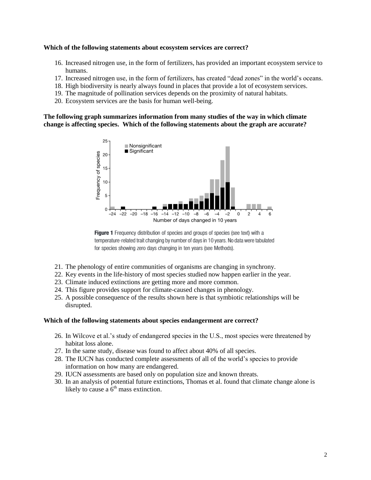#### **Which of the following statements about ecosystem services are correct?**

- 16. Increased nitrogen use, in the form of fertilizers, has provided an important ecosystem service to humans.
- 17. Increased nitrogen use, in the form of fertilizers, has created "dead zones" in the world's oceans.
- 18. High biodiversity is nearly always found in places that provide a lot of ecosystem services.
- 19. The magnitude of pollination services depends on the proximity of natural habitats.
- 20. Ecosystem services are the basis for human well-being.

**The following graph summarizes information from many studies of the way in which climate change is affecting species. Which of the following statements about the graph are accurate?**





- 21. The phenology of entire communities of organisms are changing in synchrony.
- 22. Key events in the life-history of most species studied now happen earlier in the year.
- 23. Climate induced extinctions are getting more and more common.
- 24. This figure provides support for climate-caused changes in phenology.
- 25. A possible consequence of the results shown here is that symbiotic relationships will be disrupted.

## **Which of the following statements about species endangerment are correct?**

- 26. In Wilcove et al.'s study of endangered species in the U.S., most species were threatened by habitat loss alone.
- 27. In the same study, disease was found to affect about 40% of all species.
- 28. The IUCN has conducted complete assessments of all of the world's species to provide information on how many are endangered.
- 29. IUCN assessments are based only on population size and known threats.
- 30. In an analysis of potential future extinctions, Thomas et al. found that climate change alone is likely to cause a  $6<sup>th</sup>$  mass extinction.